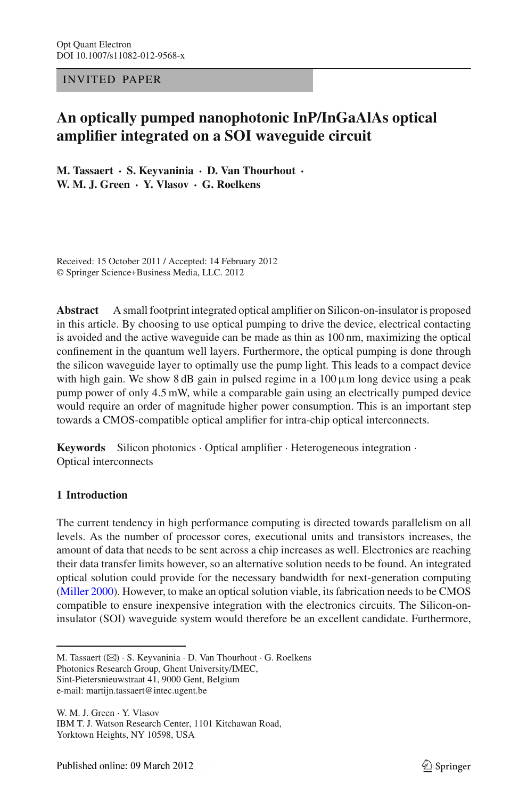### INV ITED PAPER

# **An optically pumped nanophotonic InP/InGaAlAs optical amplifier integrated on a SOI waveguide circuit**

**M. Tassaert · S. Keyvaninia · D. Van Thourhout · W. M. J. Green · Y. Vlasov · G. Roelkens**

Received: 15 October 2011 / Accepted: 14 February 2012 © Springer Science+Business Media, LLC. 2012

**Abstract** A small footprint integrated optical amplifier on Silicon-on-insulator is proposed in this article. By choosing to use optical pumping to drive the device, electrical contacting is avoided and the active waveguide can be made as thin as 100 nm, maximizing the optical confinement in the quantum well layers. Furthermore, the optical pumping is done through the silicon waveguide layer to optimally use the pump light. This leads to a compact device with high gain. We show 8 dB gain in pulsed regime in a  $100 \mu$ m long device using a peak pump power of only 4*.*5 mW, while a comparable gain using an electrically pumped device would require an order of magnitude higher power consumption. This is an important step towards a CMOS-compatible optical amplifier for intra-chip optical interconnects.

**Keywords** Silicon photonics · Optical amplifier · Heterogeneous integration · Optical interconnects

## **1 Introduction**

The current tendency in high performance computing is directed towards parallelism on all levels. As the number of processor cores, executional units and transistors increases, the amount of data that needs to be sent across a chip increases as well. Electronics are reaching their data transfer limits however, so an alternative solution needs to be found. An integrated optical solution could provide for the necessary bandwidth for next-generation computing [\(Miller 2000\)](#page-6-0). However, to make an optical solution viable, its fabrication needs to be CMOS compatible to ensure inexpensive integration with the electronics circuits. The Silicon-oninsulator (SOI) waveguide system would therefore be an excellent candidate. Furthermore,

M. Tassaert (B) · S. Keyvaninia · D. Van Thourhout · G. Roelkens Photonics Research Group, Ghent University/IMEC, Sint-Pietersnieuwstraat 41, 9000 Gent, Belgium

e-mail: martijn.tassaert@intec.ugent.be

W. M. J. Green · Y. Vlasov IBM T. J. Watson Research Center, 1101 Kitchawan Road, Yorktown Heights, NY 10598, USA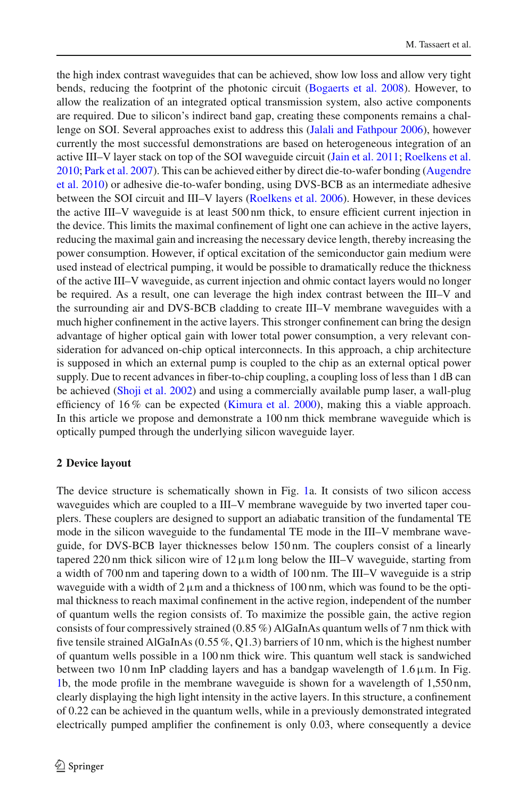the high index contrast waveguides that can be achieved, show low loss and allow very tight bends, reducing the footprint of the photonic circuit [\(Bogaerts et al. 2008\)](#page-5-0). However, to allow the realization of an integrated optical transmission system, also active components are required. Due to silicon's indirect band gap, creating these components remains a challenge on SOI. Several approaches exist to address this [\(Jalali and Fathpour 2006\)](#page-6-1), however currently the most successful demonstrations are based on heterogeneous integration of an active III–V layer stack on top of the SOI waveguide circuit [\(Jain et al. 2011;](#page-6-2) [Roelkens et al.](#page-6-3) [2010](#page-6-3); [Park et al. 2007](#page-6-4)[\).](#page-5-1) [This](#page-5-1) [can](#page-5-1) [be](#page-5-1) [achieved](#page-5-1) [either](#page-5-1) [by](#page-5-1) [direct](#page-5-1) [die-to-wafer](#page-5-1) [bonding](#page-5-1) [\(](#page-5-1)Augendre et al. [2010](#page-5-1)) or adhesive die-to-wafer bonding, using DVS-BCB as an intermediate adhesive between the SOI circuit and III–V layers [\(Roelkens et al. 2006](#page-6-5)). However, in these devices the active III–V waveguide is at least 500 nm thick, to ensure efficient current injection in the device. This limits the maximal confinement of light one can achieve in the active layers, reducing the maximal gain and increasing the necessary device length, thereby increasing the power consumption. However, if optical excitation of the semiconductor gain medium were used instead of electrical pumping, it would be possible to dramatically reduce the thickness of the active III–V waveguide, as current injection and ohmic contact layers would no longer be required. As a result, one can leverage the high index contrast between the III–V and the surrounding air and DVS-BCB cladding to create III–V membrane waveguides with a much higher confinement in the active layers. This stronger confinement can bring the design advantage of higher optical gain with lower total power consumption, a very relevant consideration for advanced on-chip optical interconnects. In this approach, a chip architecture is supposed in which an external pump is coupled to the chip as an external optical power supply. Due to recent advances in fiber-to-chip coupling, a coupling loss of less than 1 dB can be achieved [\(Shoji et al. 2002\)](#page-6-6) and using a commercially available pump laser, a wall-plug efficiency of 16 % can be expected [\(Kimura et al. 2000](#page-6-7)), making this a viable approach. In this article we propose and demonstrate a 100 nm thick membrane waveguide which is optically pumped through the underlying silicon waveguide layer.

## **2 Device layout**

The device structure is schematically shown in Fig. [1a](#page-2-0). It consists of two silicon access waveguides which are coupled to a III–V membrane waveguide by two inverted taper couplers. These couplers are designed to support an adiabatic transition of the fundamental TE mode in the silicon waveguide to the fundamental TE mode in the III–V membrane waveguide, for DVS-BCB layer thicknesses below 150 nm. The couplers consist of a linearly tapered 220 nm thick silicon wire of  $12 \mu m$  long below the III–V waveguide, starting from a width of 700 nm and tapering down to a width of 100 nm. The III–V waveguide is a strip waveguide with a width of  $2 \mu m$  and a thickness of 100 nm, which was found to be the optimal thickness to reach maximal confinement in the active region, independent of the number of quantum wells the region consists of. To maximize the possible gain, the active region consists of four compressively strained (0*.*85 %) AlGaInAs quantum wells of 7 nm thick with five tensile strained AlGaInAs (0*.*55 %, Q1.3) barriers of 10 nm, which is the highest number of quantum wells possible in a 100 nm thick wire. This quantum well stack is sandwiched between two 10 nm InP cladding layers and has a bandgap wavelength of  $1.6 \mu$ m. In Fig. [1b](#page-2-0), the mode profile in the membrane waveguide is shown for a wavelength of 1,550 nm, clearly displaying the high light intensity in the active layers. In this structure, a confinement of 0.22 can be achieved in the quantum wells, while in a previously demonstrated integrated electrically pumped amplifier the confinement is only 0.03, where consequently a device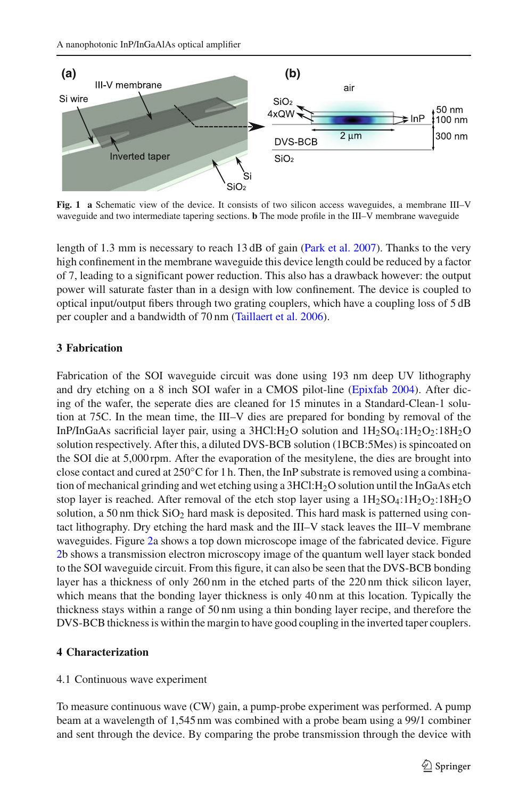

<span id="page-2-0"></span>**Fig. 1 a** Schematic view of the device. It consists of two silicon access waveguides, a membrane III–V waveguide and two intermediate tapering sections. **b** The mode profile in the III–V membrane waveguide

length of 1*.*3 mm is necessary to reach 13 dB of gain [\(Park et al. 2007\)](#page-6-4). Thanks to the very high confinement in the membrane waveguide this device length could be reduced by a factor of 7, leading to a significant power reduction. This also has a drawback however: the output power will saturate faster than in a design with low confinement. The device is coupled to optical input/output fibers through two grating couplers, which have a coupling loss of 5 dB per coupler and a bandwidth of 70 nm [\(Taillaert et al. 2006\)](#page-6-8).

# **3 Fabrication**

Fabrication of the SOI waveguide circuit was done using 193 nm deep UV lithography and dry etching on a 8 inch SOI wafer in a CMOS pilot-line [\(Epixfab 2004\)](#page-6-9). After dicing of the wafer, the seperate dies are cleaned for 15 minutes in a Standard-Clean-1 solution at 75C. In the mean time, the III–V dies are prepared for bonding by removal of the InP/InGaAs sacrificial layer pair, using a  $3HCl:H_2O$  solution and  $1H_2SO_4:1H_2O_2:18H_2O$ solution respectively. After this, a diluted DVS-BCB solution (1BCB:5Mes) is spincoated on the SOI die at 5,000 rpm. After the evaporation of the mesitylene, the dies are brought into close contact and cured at  $250^{\circ}$ C for 1 h. Then, the InP substrate is removed using a combination of mechanical grinding and wet etching using a 3HCl:H2O solution until the InGaAs etch stop layer is reached. After removal of the etch stop layer using a  $1H_2SO_4:1H_2O_2:18H_2O$ solution, a 50 nm thick  $SiO<sub>2</sub>$  hard mask is deposited. This hard mask is patterned using contact lithography. Dry etching the hard mask and the III–V stack leaves the III–V membrane waveguides. Figure [2a](#page-3-0) shows a top down microscope image of the fabricated device. Figure [2b](#page-3-0) shows a transmission electron microscopy image of the quantum well layer stack bonded to the SOI waveguide circuit. From this figure, it can also be seen that the DVS-BCB bonding layer has a thickness of only 260 nm in the etched parts of the 220 nm thick silicon layer, which means that the bonding layer thickness is only 40 nm at this location. Typically the thickness stays within a range of 50 nm using a thin bonding layer recipe, and therefore the DVS-BCB thickness is within the margin to have good coupling in the inverted taper couplers.

# **4 Characterization**

# 4.1 Continuous wave experiment

To measure continuous wave (CW) gain, a pump-probe experiment was performed. A pump beam at a wavelength of 1,545 nm was combined with a probe beam using a 99/1 combiner and sent through the device. By comparing the probe transmission through the device with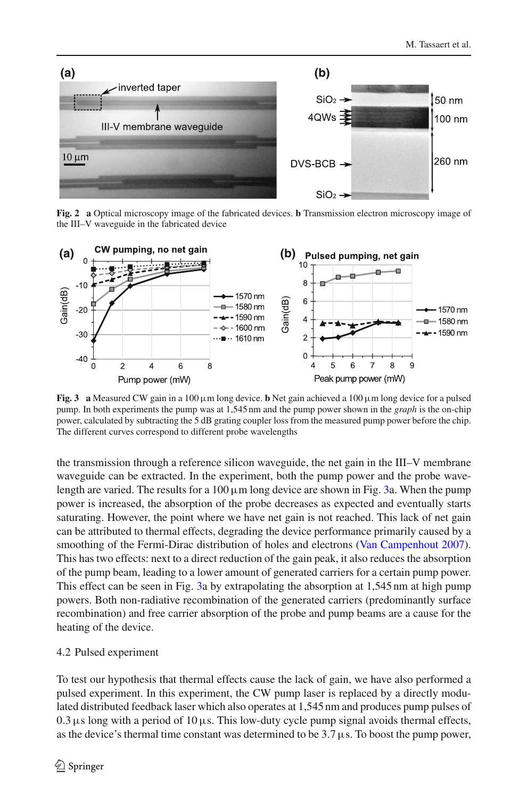

**Fig. 2 a** Optical microscopy image of the fabricated devices. **b** Transmission electron microscopy image of the III–V waveguide in the fabricated device

<span id="page-3-0"></span>

<span id="page-3-1"></span>**Fig. 3** a Measured CW gain in a 100  $\mu$ m long device. **b** Net gain achieved a 100  $\mu$ m long device for a pulsed pump. In both experiments the pump was at 1,545 nm and the pump power shown in the *graph* is the on-chip power, calculated by subtracting the 5 dB grating coupler loss from the measured pump power before the chip. The different curves correspond to different probe wavelengths

the transmission through a reference silicon waveguide, the net gain in the III–V membrane waveguide can be extracted. In the experiment, both the pump power and the probe wavelength are varied. The results for a  $100 \mu m$  long device are shown in Fig. [3a](#page-3-1). When the pump power is increased, the absorption of the probe decreases as expected and eventually starts saturating. However, the point where we have net gain is not reached. This lack of net gain can be attributed to thermal effects, degrading the device performance primarily caused by a smoothing of the Fermi-Dirac distribution of holes and electrons [\(Van Campenhout 2007\)](#page-6-10). This has two effects: next to a direct reduction of the gain peak, it also reduces the absorption of the pump beam, leading to a lower amount of generated carriers for a certain pump power. This effect can be seen in Fig. [3a](#page-3-1) by extrapolating the absorption at 1,545 nm at high pump powers. Both non-radiative recombination of the generated carriers (predominantly surface recombination) and free carrier absorption of the probe and pump beams are a cause for the heating of the device.

#### 4.2 Pulsed experiment

To test our hypothesis that thermal effects cause the lack of gain, we have also performed a pulsed experiment. In this experiment, the CW pump laser is replaced by a directly modulated distributed feedback laser which also operates at 1,545 nm and produces pump pulses of  $0.3 \,\mu s$  long with a period of 10  $\mu s$ . This low-duty cycle pump signal avoids thermal effects, as the device's thermal time constant was determined to be  $3.7 \mu s$ . To boost the pump power,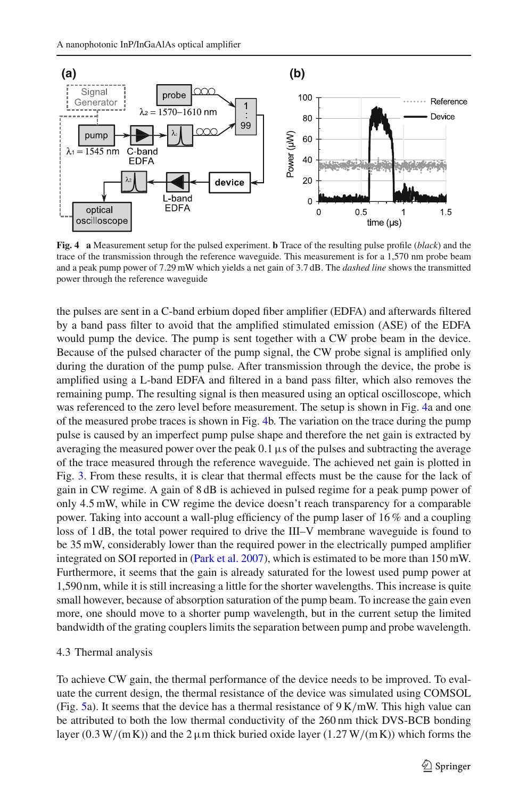

<span id="page-4-0"></span>**Fig. 4 a** Measurement setup for the pulsed experiment. **b** Trace of the resulting pulse profile (*black*) and the trace of the transmission through the reference waveguide. This measurement is for a 1,570 nm probe beam and a peak pump power of 7*.*29 mW which yields a net gain of 3*.*7 dB. The *dashed line* shows the transmitted power through the reference waveguide

the pulses are sent in a C-band erbium doped fiber amplifier (EDFA) and afterwards filtered by a band pass filter to avoid that the amplified stimulated emission (ASE) of the EDFA would pump the device. The pump is sent together with a CW probe beam in the device. Because of the pulsed character of the pump signal, the CW probe signal is amplified only during the duration of the pump pulse. After transmission through the device, the probe is amplified using a L-band EDFA and filtered in a band pass filter, which also removes the remaining pump. The resulting signal is then measured using an optical oscilloscope, which was referenced to the zero level before measurement. The setup is shown in Fig. [4a](#page-4-0) and one of the measured probe traces is shown in Fig. [4b](#page-4-0). The variation on the trace during the pump pulse is caused by an imperfect pump pulse shape and therefore the net gain is extracted by averaging the measured power over the peak  $0.1 \mu s$  of the pulses and subtracting the average of the trace measured through the reference waveguide. The achieved net gain is plotted in Fig. [3.](#page-3-1) From these results, it is clear that thermal effects must be the cause for the lack of gain in CW regime. A gain of 8 dB is achieved in pulsed regime for a peak pump power of only 4*.*5 mW, while in CW regime the device doesn't reach transparency for a comparable power. Taking into account a wall-plug efficiency of the pump laser of 16 % and a coupling loss of 1 dB, the total power required to drive the III–V membrane waveguide is found to be 35 mW, considerably lower than the required power in the electrically pumped amplifier integrated on SOI reported in [\(Park et al. 2007](#page-6-4)), which is estimated to be more than 150 mW. Furthermore, it seems that the gain is already saturated for the lowest used pump power at 1,590 nm, while it is still increasing a little for the shorter wavelengths. This increase is quite small however, because of absorption saturation of the pump beam. To increase the gain even more, one should move to a shorter pump wavelength, but in the current setup the limited bandwidth of the grating couplers limits the separation between pump and probe wavelength.

#### 4.3 Thermal analysis

To achieve CW gain, the thermal performance of the device needs to be improved. To evaluate the current design, the thermal resistance of the device was simulated using COMSOL (Fig. [5a](#page-5-2)). It seems that the device has a thermal resistance of 9 K*/*mW. This high value can be attributed to both the low thermal conductivity of the 260 nm thick DVS-BCB bonding layer (0.3 W/(mK)) and the  $2 \mu$ m thick buried oxide layer (1.27 W/(mK)) which forms the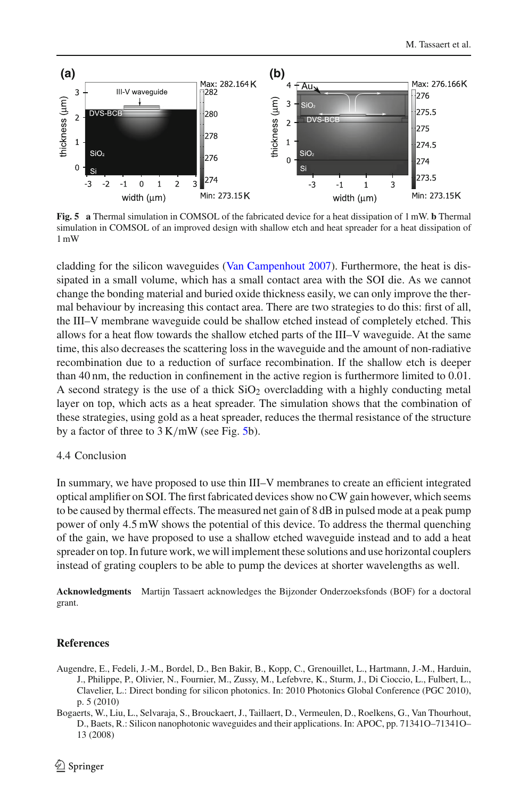

<span id="page-5-2"></span>**Fig. 5 a** Thermal simulation in COMSOL of the fabricated device for a heat dissipation of 1 mW. **b** Thermal simulation in COMSOL of an improved design with shallow etch and heat spreader for a heat dissipation of 1 mW

cladding for the silicon waveguides [\(Van Campenhout 2007](#page-6-10)). Furthermore, the heat is dissipated in a small volume, which has a small contact area with the SOI die. As we cannot change the bonding material and buried oxide thickness easily, we can only improve the thermal behaviour by increasing this contact area. There are two strategies to do this: first of all, the III–V membrane waveguide could be shallow etched instead of completely etched. This allows for a heat flow towards the shallow etched parts of the III–V waveguide. At the same time, this also decreases the scattering loss in the waveguide and the amount of non-radiative recombination due to a reduction of surface recombination. If the shallow etch is deeper than 40 nm, the reduction in confinement in the active region is furthermore limited to 0.01. A second strategy is the use of a thick  $SiO<sub>2</sub>$  overcladding with a highly conducting metal layer on top, which acts as a heat spreader. The simulation shows that the combination of these strategies, using gold as a heat spreader, reduces the thermal resistance of the structure by a factor of three to 3 K*/*mW (see Fig. [5b](#page-5-2)).

#### 4.4 Conclusion

In summary, we have proposed to use thin III–V membranes to create an efficient integrated optical amplifier on SOI. The first fabricated devices show no CW gain however, which seems to be caused by thermal effects. The measured net gain of 8 dB in pulsed mode at a peak pump power of only 4*.*5 mW shows the potential of this device. To address the thermal quenching of the gain, we have proposed to use a shallow etched waveguide instead and to add a heat spreader on top. In future work, we will implement these solutions and use horizontal couplers instead of grating couplers to be able to pump the devices at shorter wavelengths as well.

**Acknowledgments** Martijn Tassaert acknowledges the Bijzonder Onderzoeksfonds (BOF) for a doctoral grant.

## **References**

- <span id="page-5-1"></span>Augendre, E., Fedeli, J.-M., Bordel, D., Ben Bakir, B., Kopp, C., Grenouillet, L., Hartmann, J.-M., Harduin, J., Philippe, P., Olivier, N., Fournier, M., Zussy, M., Lefebvre, K., Sturm, J., Di Cioccio, L., Fulbert, L., Clavelier, L.: Direct bonding for silicon photonics. In: 2010 Photonics Global Conference (PGC 2010), p. 5 (2010)
- <span id="page-5-0"></span>Bogaerts, W., Liu, L., Selvaraja, S., Brouckaert, J., Taillaert, D., Vermeulen, D., Roelkens, G., Van Thourhout, D., Baets, R.: Silicon nanophotonic waveguides and their applications. In: APOC, pp. 71341O–71341O– 13 (2008)